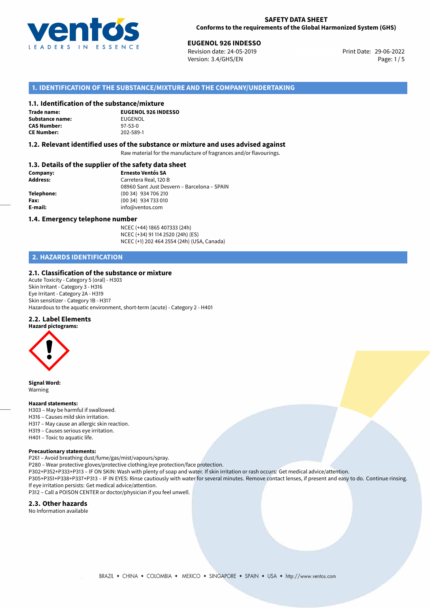

29-06-2022 **EUGENOL 926 INDESSO** Revision date: 24-05-2019 Print Date: Version: 3.4/GHS/EN Page: 1 / 5

# **1. IDENTIFICATION OF THE SUBSTANCE/MIXTURE AND THE COMPANY/UNDERTAKING**

#### **1.1. Identification of the substance/mixture**

**Trade name: Substance name:** EUGENOL<br> **CAS Number:** 97-53-0 **CAS Number:** 97-53-0<br> **CE Number:** 202-589-1 **CE Number:** 202-589-1

**EUGENOL 926 INDESSO**

#### **1.2. Relevant identified uses of the substance or mixture and uses advised against**

Raw material for the manufacture of fragrances and/or flavourings.

# **1.3. Details of the supplier of the safety data sheet**

| Company:        | <b>Ernesto Ventós SA</b>                    |  |
|-----------------|---------------------------------------------|--|
| <b>Address:</b> | Carretera Real, 120 B                       |  |
|                 | 08960 Sant Just Desvern - Barcelona - SPAIN |  |
| Telephone:      | $(0034)$ 934 706 210                        |  |
| Fax:            | (00 34) 934 733 010                         |  |
| E-mail:         | info@ventos.com                             |  |
|                 |                                             |  |

#### **1.4. Emergency telephone number**

NCEC (+44) 1865 407333 (24h) NCEC (+34) 91 114 2520 (24h) (ES) NCEC (+1) 202 464 2554 (24h) (USA, Canada)

# **2. HAZARDS IDENTIFICATION**

#### **2.1. Classification of the substance or mixture**

Acute Toxicity - Category 5 (oral) - H303 Skin Irritant - Category 3 - H316 Eye Irritant - Category 2A - H319 Skin sensitizer - Category 1B - H317 Hazardous to the aquatic environment, short-term (acute) - Category 2 - H401

#### **2.2. Label Elements**



**Signal Word:** Warning

#### **Hazard statements:**

- H303 May be harmful if swallowed.
- H316 Causes mild skin irritation.
- H317 May cause an allergic skin reaction.
- H319 Causes serious eye irritation.
- H401 Toxic to aquatic life.

#### **Precautionary statements:**

P261 – Avoid breathing dust/fume/gas/mist/vapours/spray. P280 – Wear protective gloves/protective clothing/eye protection/face protection. P302+P352+P333+P313 – IF ON SKIN: Wash with plenty of soap and water. If skin irritation or rash occurs: Get medical advice/attention. P305+P351+P338+P337+P313 – IF IN EYES: Rinse cautiously with water for several minutes. Remove contact lenses, if present and easy to do. Continue rinsing. If eye irritation persists: Get medical advice/attention. P312 – Call a POISON CENTER or doctor/physician if you feel unwell.

#### **2.3. Other hazards**

No Information available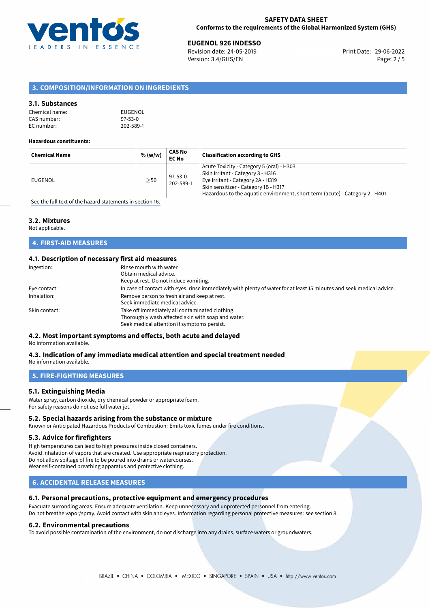

29-06-2022 **EUGENOL 926 INDESSO** Revision date: 24-05-2019 Print Date: Version: 3.4/GHS/EN Page: 2 / 5

# **3. COMPOSITION/INFORMATION ON INGREDIENTS**

# **3.1. Substances**

| Chemical name: | EUGENOL       |
|----------------|---------------|
| CAS number:    | $97 - 53 - 0$ |
| EC number:     | 202-589-1     |

#### **Hazardous constituents:**

| Acute Toxicity - Category 5 (oral) - H303<br>Skin Irritant - Category 3 - H316<br>$97 - 53 - 0$<br>Eye Irritant - Category 2A - H319<br>EUGENOL<br>$\geq$ 50<br>202-589-1<br>Skin sensitizer - Category 1B - H317<br>Hazardous to the aquatic environment, short-term (acute) - Category 2 - H401 | <b>Chemical Name</b> | % (w/w) | CAS No<br><b>EC No</b> | <b>Classification according to GHS</b> |
|---------------------------------------------------------------------------------------------------------------------------------------------------------------------------------------------------------------------------------------------------------------------------------------------------|----------------------|---------|------------------------|----------------------------------------|
|                                                                                                                                                                                                                                                                                                   |                      |         |                        |                                        |

[See the full text of the hazard statements in section 16.](#page-4-0)

#### **3.2. Mixtures**

Not applicable.

# **4. FIRST-AID MEASURES**

# **4.1. Description of necessary first aid measures**

| Ingestion:    | Rinse mouth with water.<br>Obtain medical advice.<br>Keep at rest. Do not induce vomiting.                                                           |
|---------------|------------------------------------------------------------------------------------------------------------------------------------------------------|
| Eye contact:  | In case of contact with eyes, rinse immediately with plenty of water for at least 15 minutes and seek medical advice.                                |
| Inhalation:   | Remove person to fresh air and keep at rest.<br>Seek immediate medical advice.                                                                       |
| Skin contact: | Take off immediately all contaminated clothing.<br>Thoroughly wash affected skin with soap and water.<br>Seek medical attention if symptoms persist. |

# **4.2. Most important symptoms and effects, both acute and delayed**

No information available.

#### **4.3. Indication of any immediate medical attention and special treatment needed** No information available.

**5. FIRE-FIGHTING MEASURES**

# **5.1. Extinguishing Media**

Water spray, carbon dioxide, dry chemical powder or appropriate foam. For safety reasons do not use full water jet.

#### **5.2. Special hazards arising from the substance or mixture**

Known or Anticipated Hazardous Products of Combustion: Emits toxic fumes under fire conditions.

#### **5.3. Advice for firefighters**

High temperatures can lead to high pressures inside closed containers. Avoid inhalation of vapors that are created. Use appropriate respiratory protection. Do not allow spillage of fire to be poured into drains or watercourses. Wear self-contained breathing apparatus and protective clothing.

# **6. ACCIDENTAL RELEASE MEASURES**

# **6.1. Personal precautions, protective equipment and emergency procedures**

Evacuate surronding areas. Ensure adequate ventilation. Keep unnecessary and unprotected personnel from entering. Do not breathe vapor/spray. Avoid contact with skin and eyes. Information regarding personal protective measures: see section 8.

#### **6.2. Environmental precautions**

To avoid possible contamination of the environment, do not discharge into any drains, surface waters or groundwaters.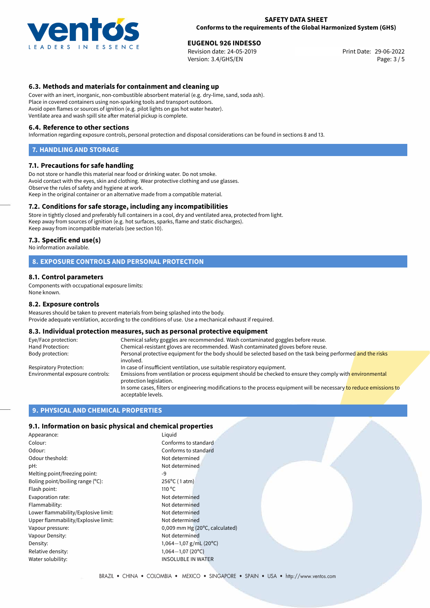

29-06-2022 **EUGENOL 926 INDESSO** Revision date: 24-05-2019 Print Date: Version: 3.4/GHS/EN Page: 3 / 5

# **6.3. Methods and materials for containment and cleaning up**

Cover with an inert, inorganic, non-combustible absorbent material (e.g. dry-lime, sand, soda ash). Place in covered containers using non-sparking tools and transport outdoors. Avoid open flames or sources of ignition (e.g. pilot lights on gas hot water heater). Ventilate area and wash spill site after material pickup is complete.

#### **6.4. Reference to other sections**

Information regarding exposure controls, personal protection and disposal considerations can be found in sections 8 and 13.

#### **7. HANDLING AND STORAGE**

#### **7.1. Precautions for safe handling**

Do not store or handle this material near food or drinking water. Do not smoke. Avoid contact with the eyes, skin and clothing. Wear protective clothing and use glasses. Observe the rules of safety and hygiene at work. Keep in the original container or an alternative made from a compatible material.

#### **7.2. Conditions for safe storage, including any incompatibilities**

Store in tightly closed and preferably full containers in a cool, dry and ventilated area, protected from light. Keep away from sources of ignition (e.g. hot surfaces, sparks, flame and static discharges). Keep away from incompatible materials (see section 10).

#### **7.3. Specific end use(s)**

No information available.

#### **8. EXPOSURE CONTROLS AND PERSONAL PROTECTION**

#### **8.1. Control parameters**

Components with occupational exposure limits: None known.

#### **8.2. Exposure controls**

Measures should be taken to prevent materials from being splashed into the body. Provide adequate ventilation, according to the conditions of use. Use a mechanical exhaust if required.

#### **8.3. Individual protection measures, such as personal protective equipment**

| Eye/Face protection:             | Chemical safety goggles are recommended. Wash contaminated goggles before reuse.                                                            |  |  |
|----------------------------------|---------------------------------------------------------------------------------------------------------------------------------------------|--|--|
| Hand Protection:                 | Chemical-resistant gloves are recommended. Wash contaminated gloves before reuse.                                                           |  |  |
| Body protection:                 | Personal protective equipment for the body should be selected based on the task being performed and the risks<br>involved.                  |  |  |
| Respiratory Protection:          | In case of insufficient ventilation, use suitable respiratory equipment.                                                                    |  |  |
| Environmental exposure controls: | Emissions from ventilation or process equipment should be checked to ensure they comply with environmental<br>protection legislation.       |  |  |
|                                  | In some cases, filters or engineering modifications to the process equipment will be necessary to reduce emissions to<br>acceptable levels. |  |  |

### **9. PHYSICAL AND CHEMICAL PROPERTIES**

# **9.1. Information on basic physical and chemical properties**

| Liguid          |
|-----------------|
| Confo           |
| Confo           |
| Not de          |
| Not de          |
| $-9$            |
| $256^{\circ}$ C |
| 110 $\degree$ C |
| Not de          |
| Not de          |
| Not de          |
| Not de          |
| 0,009           |
| Not de          |
| $1,064 -$       |
| $1.064 -$       |
| INSOL           |
|                 |

Conforms to standard Not determined Not determined  $256^{\circ}$ C (1 atm) Not determined Not determined Not determined Not determined 0,009 mm Hg (20 $^{\circ}$ C, calculated) Not determined 1,064<sup>-</sup>1,07 g/mL (20°C) Relative density: 1,064*−*1,07 (20ºC) **INSOLUBLE IN WATER** 

Conforms to standard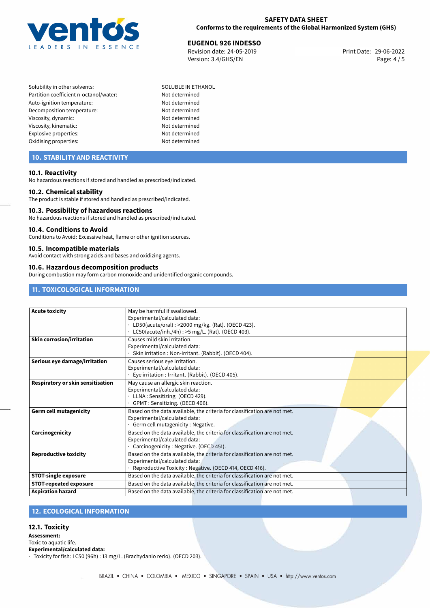

29-06-2022 **EUGENOL 926 INDESSO** Revision date: 24-05-2019 Print Date: Version: 3.4/GHS/EN Page: 4 / 5

- Solubility in other solvents: SOLUBLE IN ETHANOL Partition coefficient n-octanol/water: Not determined Auto-ignition temperature: Not determined Decomposition temperature: Not determined Viscosity, dynamic: Not determined Viscosity, kinematic: Not determined Explosive properties: Not determined Oxidising properties: Not determined
	-

# **10. STABILITY AND REACTIVITY**

#### **10.1. Reactivity**

No hazardous reactions if stored and handled as prescribed/indicated.

#### **10.2. Chemical stability**

The product is stable if stored and handled as prescribed/indicated.

#### **10.3. Possibility of hazardous reactions**

No hazardous reactions if stored and handled as prescribed/indicated.

#### **10.4. Conditions to Avoid**

Conditions to Avoid: Excessive heat, flame or other ignition sources.

#### **10.5. Incompatible materials**

Avoid contact with strong acids and bases and oxidizing agents.

#### **10.6. Hazardous decomposition products**

During combustion may form carbon monoxide and unidentified organic compounds.

# **11. TOXICOLOGICAL INFORMATION**

| <b>Acute toxicity</b>             | May be harmful if swallowed.                                              |
|-----------------------------------|---------------------------------------------------------------------------|
|                                   | Experimental/calculated data:                                             |
|                                   | LD50(acute/oral): >2000 mg/kg. (Rat). (OECD 423).                         |
|                                   | LC50(acute/inh./4h): >5 mg/L. (Rat). (OECD 403).                          |
| <b>Skin corrosion/irritation</b>  | Causes mild skin irritation.                                              |
|                                   | Experimental/calculated data:                                             |
|                                   | Skin irritation: Non-irritant. (Rabbit). (OECD 404).                      |
| Serious eye damage/irritation     | Causes serious eye irritation.                                            |
|                                   | Experimental/calculated data:                                             |
|                                   | Eye irritation : Irritant. (Rabbit). (OECD 405).                          |
| Respiratory or skin sensitisation | May cause an allergic skin reaction.                                      |
|                                   | Experimental/calculated data:                                             |
|                                   | LLNA: Sensitizing. (OECD 429).                                            |
|                                   | GPMT: Sensitizing. (OECD 406).                                            |
| <b>Germ cell mutagenicity</b>     | Based on the data available, the criteria for classification are not met. |
|                                   | Experimental/calculated data:                                             |
|                                   | Germ cell mutagenicity : Negative.                                        |
| Carcinogenicity                   | Based on the data available, the criteria for classification are not met. |
|                                   | Experimental/calculated data:                                             |
|                                   | Carcinogenicity: Negative. (OECD 451).                                    |
| <b>Reproductive toxicity</b>      | Based on the data available, the criteria for classification are not met. |
|                                   | Experimental/calculated data:                                             |
|                                   | Reproductive Toxicity: Negative. (OECD 414, OECD 416).                    |
| <b>STOT-single exposure</b>       | Based on the data available, the criteria for classification are not met. |
| <b>STOT-repeated exposure</b>     | Based on the data available, the criteria for classification are not met. |
| <b>Aspiration hazard</b>          | Based on the data available, the criteria for classification are not met. |

# **12. ECOLOGICAL INFORMATION**

# **12.1. Toxicity**

**Assessment:**

Toxic to aquatic life.

**Experimental/calculated data:**

· Toxicity for fish: LC50 (96h) : 13 mg/L. (Brachydanio rerio). (OECD 203).